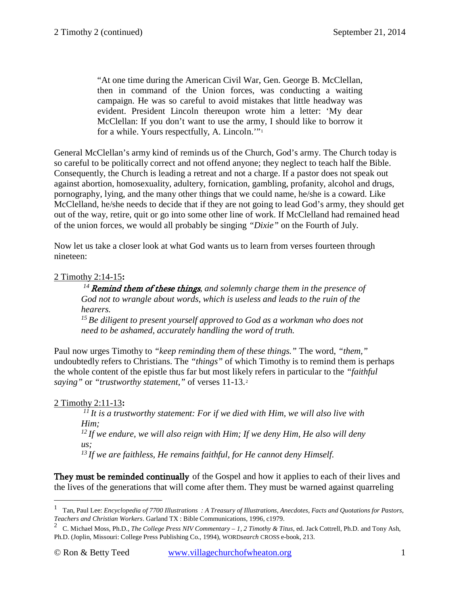"At one time during the American Civil War, Gen. George B. McClellan, then in command of the Union forces, was conducting a waiting campaign. He was so careful to avoid mistakes that little headway was evident. President Lincoln thereupon wrote him a letter: 'My dear McClellan: If you don't want to use the army, I should like to borrow it for a while. Yours respectfully, A. Lincoln.'"[1](#page-0-0)

General McClellan's army kind of reminds us of the Church, God's army. The Church today is so careful to be politically correct and not offend anyone; they neglect to teach half the Bible. Consequently, the Church is leading a retreat and not a charge. If a pastor does not speak out against abortion, homosexuality, adultery, fornication, gambling, profanity, alcohol and drugs, pornography, lying, and the many other things that we could name, he/she is a coward. Like McClelland, he/she needs to decide that if they are not going to lead God's army, they should get out of the way, retire, quit or go into some other line of work. If McClelland had remained head of the union forces, we would all probably be singing *"Dixie"* on the Fourth of July.

Now let us take a closer look at what God wants us to learn from verses fourteen through nineteen:

### 2 Timothy 2:14-15**:**

*<sup>14</sup>*Remind them of these things*, and solemnly charge them in the presence of God not to wrangle about words, which is useless and leads to the ruin of the hearers. 15 Be diligent to present yourself approved to God as a workman who does not* 

*need to be ashamed, accurately handling the word of truth.* 

Paul now urges Timothy to *"keep reminding them of these things."* The word, *"them,"*  undoubtedly refers to Christians. The *"things"* of which Timothy is to remind them is perhaps the whole content of the epistle thus far but most likely refers in particular to the *"faithful saying"* or *"trustworthy statement,"* of [verses 11-13.](http://www.crossbooks.com/verse.asp?ref=2Ti+2%3A11-13) [2](#page-0-1)

# 2 Timothy 2:11-13**:**

 $\overline{a}$ 

*11 It is a trustworthy statement: For if we died with Him, we will also live with Him; 12 If we endure, we will also reign with Him; If we deny Him, He also will deny us; 13 If we are faithless, He remains faithful, for He cannot deny Himself.* 

They must be reminded continually of the Gospel and how it applies to each of their lives and the lives of the generations that will come after them. They must be warned against quarreling

<span id="page-0-0"></span><sup>1</sup> Tan, Paul Lee: *Encyclopedia of 7700 Illustrations : A Treasury of Illustrations, Anecdotes, Facts and Quotations for Pastors, Teachers and Christian Workers*. Garland TX : Bible Communications, 1996, c1979.

<span id="page-0-1"></span><sup>2</sup> C. Michael Moss, Ph.D., *The College Press NIV Commentary – 1, 2 Timothy & Titus*, ed. Jack Cottrell, Ph.D. and Tony Ash, Ph.D. (Joplin, Missouri: College Press Publishing Co., 1994), WORD*search* CROSS e-book, 213.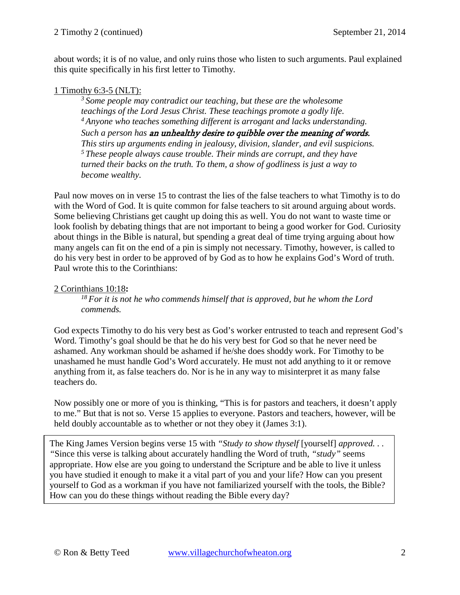about words; it is of no value, and only ruins those who listen to such arguments. Paul explained this quite specifically in his first letter to Timothy.

### 1 Timothy 6:3-5 (NLT):

*3 Some people may contradict our teaching, but these are the wholesome teachings of the Lord Jesus Christ. These teachings promote a godly life. 4 Anyone who teaches something different is arrogant and lacks understanding. Such a person has* an unhealthy desire to quibble over the meaning of words. *This stirs up arguments ending in jealousy, division, slander, and evil suspicions. 5 These people always cause trouble. Their minds are corrupt, and they have turned their backs on the truth. To them, a show of godliness is just a way to become wealthy.* 

Paul now moves on in verse 15 to contrast the lies of the false teachers to what Timothy is to do with the Word of God. It is quite common for false teachers to sit around arguing about words. Some believing Christians get caught up doing this as well. You do not want to waste time or look foolish by debating things that are not important to being a good worker for God. Curiosity about things in the Bible is natural, but spending a great deal of time trying arguing about how many angels can fit on the end of a pin is simply not necessary. Timothy, however, is called to do his very best in order to be approved of by God as to how he explains God's Word of truth. Paul wrote this to the Corinthians:

### 2 Corinthians 10:18**:**

*18 For it is not he who commends himself that is approved, but he whom the Lord commends.* 

God expects Timothy to do his very best as God's worker entrusted to teach and represent God's Word. Timothy's goal should be that he do his very best for God so that he never need be ashamed. Any workman should be ashamed if he/she does shoddy work. For Timothy to be unashamed he must handle God's Word accurately. He must not add anything to it or remove anything from it, as false teachers do. Nor is he in any way to misinterpret it as many false teachers do.

Now possibly one or more of you is thinking, "This is for pastors and teachers, it doesn't apply to me." But that is not so. Verse 15 applies to everyone. Pastors and teachers, however, will be held doubly accountable as to whether or not they obey it (James 3:1).

The King James Version begins verse 15 with "Study to show thyself [yourself] *approved... "*Since this verse is talking about accurately handling the Word of truth, *"study"* seems appropriate. How else are you going to understand the Scripture and be able to live it unless you have studied it enough to make it a vital part of you and your life? How can you present yourself to God as a workman if you have not familiarized yourself with the tools, the Bible? How can you do these things without reading the Bible every day?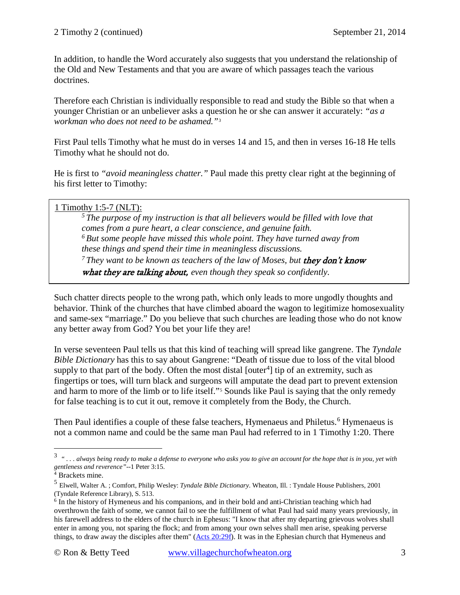In addition, to handle the Word accurately also suggests that you understand the relationship of the Old and New Testaments and that you are aware of which passages teach the various doctrines.

Therefore each Christian is individually responsible to read and study the Bible so that when a younger Christian or an unbeliever asks a question he or she can answer it accurately: *"as a workman who does not need to be ashamed."*[3](#page-2-0)

First Paul tells Timothy what he must do in verses 14 and 15, and then in verses 16-18 He tells Timothy what he should not do.

He is first to *"avoid meaningless chatter."* Paul made this pretty clear right at the beginning of his first letter to Timothy:

### 1 Timothy 1:5-7 (NLT):

*5 The purpose of my instruction is that all believers would be filled with love that comes from a pure heart, a clear conscience, and genuine faith. 6 But some people have missed this whole point. They have turned away from these things and spend their time in meaningless discussions.* <sup>7</sup> They want to be known as teachers of the law of Moses, but **they don't know** what they are talking about, *even though they speak so confidently.*

Such chatter directs people to the wrong path, which only leads to more ungodly thoughts and behavior. Think of the churches that have climbed aboard the wagon to legitimize homosexuality and same-sex "marriage." Do you believe that such churches are leading those who do not know any better away from God? You bet your life they are!

In verse seventeen Paul tells us that this kind of teaching will spread like gangrene. The *Tyndale Bible Dictionary* has this to say about Gangrene: "Death of tissue due to loss of the vital blood supply to that part of the body. Often the most distal [outer<sup>[4](#page-2-1)</sup>] tip of an extremity, such as fingertips or toes, will turn black and surgeons will amputate the dead part to prevent extension and harm to more of the limb or to life itself."<sup>[5](#page-2-2)</sup> Sounds like Paul is saying that the only remedy for false teaching is to cut it out, remove it completely from the Body, the Church.

Then Paul identifies a couple of these false teachers, Hymenaeus and Philetus.<sup>[6](#page-2-3)</sup> Hymenaeus is not a common name and could be the same man Paul had referred to in [1 Timothy 1:20.](http://www.crossbooks.com/verse.asp?ref=1Ti+1%3A20) There

<span id="page-2-0"></span><sup>3</sup> *" . . . always being ready to make a defense to everyone who asks you to give an account for the hope that is in you, yet with gentleness and reverence"--*1 Peter 3:15.

<sup>4</sup> Brackets mine.

<span id="page-2-2"></span><span id="page-2-1"></span><sup>5</sup> Elwell, Walter A. ; Comfort, Philip Wesley: *Tyndale Bible Dictionary.* Wheaton, Ill. : Tyndale House Publishers, 2001 (Tyndale Reference Library), S. 513.

<span id="page-2-3"></span><sup>6</sup> In the history of Hymeneus and his companions, and in their bold and anti-Christian teaching which had overthrown the faith of some, we cannot fail to see the fulfillment of what Paul had said many years previously, in his farewell address to the elders of the church in Ephesus: "I know that after my departing grievous wolves shall enter in among you, not sparing the flock; and from among your own selves shall men arise, speaking perverse things, to draw away the disciples after them" [\(Acts 20:29f\)](http://www.crossbooks.com/verse.asp?ref=Ac+20%3A29). It was in the Ephesian church that Hymeneus and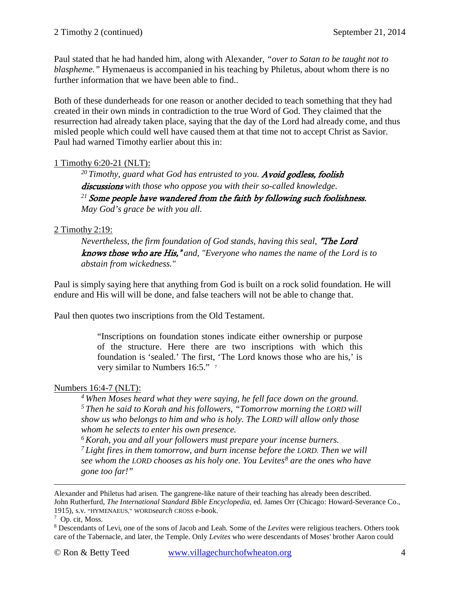Paul stated that he had handed him, along with Alexander, *"over to Satan to be taught not to blaspheme."* Hymenaeus is accompanied in his teaching by Philetus, about whom there is no further information that we have been able to find..

Both of these dunderheads for one reason or another decided to teach something that they had created in their own minds in contradiction to the true Word of God. They claimed that the resurrection had already taken place, saying that the day of the Lord had already come, and thus misled people which could well have caused them at that time not to accept Christ as Savior. Paul had warned Timothy earlier about this in:

## 1 Timothy 6:20-21 (NLT):

<sup>20</sup> Timothy, guard what God has entrusted to you. **Avoid godless, foolish** discussions with those who oppose you with their so-called knowledge. *<sup>21</sup>*Some people have wandered from the faith by following such foolishness. *May God's grace be with you all.* 

## 2 Timothy 2:19:

*Nevertheless, the firm foundation of God stands, having this seal, "The Lord* knows those who are His," *and, "Everyone who names the name of the Lord is to abstain from wickedness."* 

Paul is simply saying here that anything from God is built on a rock solid foundation. He will endure and His will will be done, and false teachers will not be able to change that.

Paul then quotes two inscriptions from the Old Testament.

"Inscriptions on foundation stones indicate either ownership or purpose of the structure. Here there are two inscriptions with which this foundation is 'sealed.' The first, 'The Lord knows those who are his,' is very similar to Numbers 16:5."

# Numbers 16:4-7 (NLT):

*4 When Moses heard what they were saying, he fell face down on the ground. 5 Then he said to Korah and his followers, "Tomorrow morning the LORD will show us who belongs to him and who is holy. The LORD will allow only those whom he selects to enter his own presence.* 

*6 Korah, you and all your followers must prepare your incense burners.* 

*7 Light fires in them tomorrow, and burn incense before the LORD. Then we will see whom the LORD chooses as his holy one. You Levites[8](#page-3-1) are the ones who have gone too far!"* 

Alexander and Philetus had arisen. The gangrene-like nature of their teaching has already been described. John Rutherfurd, *The International Standard Bible Encyclopedia*, ed. James Orr (Chicago: Howard-Severance Co., 1915), s.v. "HYMENAEUS," WORD*search* CROSS e-book.

<span id="page-3-0"></span><sup>7</sup> Op. cit, Moss.

<span id="page-3-1"></span><sup>8</sup> Descendants of Levi, one of the sons of Jacob and Leah. Some of the *Levites* were religious teachers. Others took care of the Tabernacle, and later, the Temple. Only *Levites* who were descendants of Moses' brother Aaron could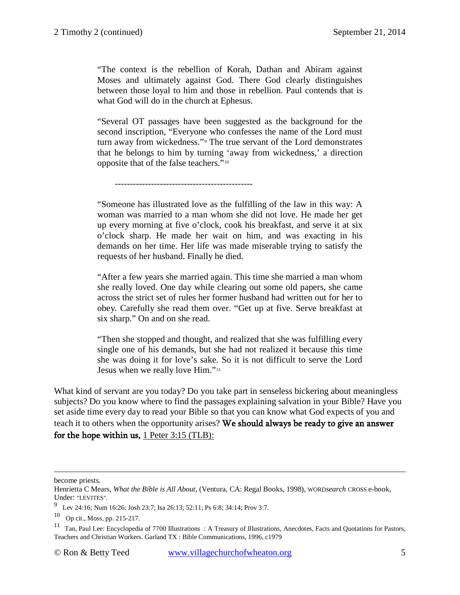"The context is the rebellion of Korah, Dathan and Abiram against Moses and ultimately against God. There God clearly distinguishes between those loyal to him and those in rebellion. Paul contends that is what God will do in the church at Ephesus.

"Several OT passages have been suggested as the background for the second inscription, "Everyone who confesses the name of the Lord must turn away from wickedness."[9](#page-4-0) The true servant of the Lord demonstrates that he belongs to him by turning 'away from wickedness,' a direction opposite that of the false teachers."[10](#page-4-1)

----------------------------------------------

"Someone has illustrated love as the fulfilling of the law in this way: A woman was married to a man whom she did not love. He made her get up every morning at five o'clock, cook his breakfast, and serve it at six o'clock sharp. He made her wait on him, and was exacting in his demands on her time. Her life was made miserable trying to satisfy the requests of her husband. Finally he died.

"After a few years she married again. This time she married a man whom she really loved. One day while clearing out some old papers, she came across the strict set of rules her former husband had written out for her to obey. Carefully she read them over. "Get up at five. Serve breakfast at six sharp." On and on she read.

"Then she stopped and thought, and realized that she was fulfilling every single one of his demands, but she had not realized it because this time she was doing it for love's sake. So it is not difficult to serve the Lord Jesus when we really love Him."[11](#page-4-2)

What kind of servant are you today? Do you take part in senseless bickering about meaningless subjects? Do you know where to find the passages explaining salvation in your Bible? Have you set aside time every day to read your Bible so that you can know what God expects of you and teach it to others when the opportunity arises? We should always be ready to give an answer for the hope within us, 1 Peter 3:15 (TLB):

become priests.

Henrietta C Mears, *What the Bible is All About*, (Ventura, CA: Regal Books, 1998), WORD*search* CROSS e-book, Under: "LEVITES".

<span id="page-4-0"></span><sup>9</sup> [Lev 24:16;](http://www.crossbooks.com/verse.asp?ref=Lev+24%3A16) [Num 16:26;](http://www.crossbooks.com/verse.asp?ref=Nu+16%3A26) [Josh 23:7;](http://www.crossbooks.com/verse.asp?ref=Jos+23%3A7) [Isa 26:13;](http://www.crossbooks.com/verse.asp?ref=Isa+26%3A13) [52:11;](http://www.crossbooks.com/verse.asp?ref=Isa+52%3A11) [Ps 6:8;](http://www.crossbooks.com/verse.asp?ref=Ps+6%3A8) [34:14;](http://www.crossbooks.com/verse.asp?ref=Ps+34%3A14) [Prov 3:7.](http://www.crossbooks.com/verse.asp?ref=Pr+3%3A7)

<span id="page-4-1"></span><sup>10</sup> Op cit., Moss, pp. 215-217.

<span id="page-4-2"></span><sup>&</sup>lt;sup>11</sup> Tan, Paul Lee: Encyclopedia of 7700 Illustrations : A Treasury of Illustrations, Anecdotes, Facts and Quotations for Pastors, Teachers and Christian Workers. Garland TX : Bible Communications, 1996, c1979